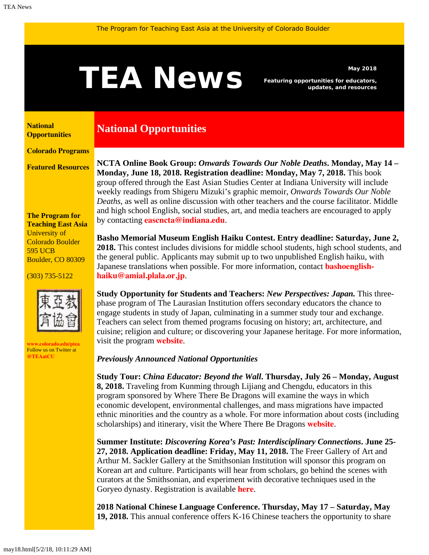# <span id="page-0-0"></span>May 2018

*Featuring opportunities for educators, updates, and resources*

**[National](#page-0-0)  [Opportunities](#page-0-0)**

**[Colorado Programs](#page-0-0)**

**[Featured Resources](#page-1-0)**

**The Program for Teaching East Asia** University of Colorado Boulder 595 UCB Boulder, CO 80309

(303) 735-5122



**[www.colorado.edu/ptea](http://www.colorado.edu/cas/tea)** Follow us on Twitter at **[@TEAatCU](https://twitter.com/TEAatCU)**

# **National Opportunities**

**NCTA Online Book Group:** *Onwards Towards Our Noble Deaths***. Monday, May 14 – Monday, June 18, 2018. Registration deadline: Monday, May 7, 2018.** This book group offered through the East Asian Studies Center at Indiana University will include weekly readings from Shigeru Mizuki's graphic memoir, *Onwards Towards Our Noble Deaths*, as well as online discussion with other teachers and the course facilitator. Middle and high school English, social studies, art, and media teachers are encouraged to apply by contacting **[eascncta@indiana.edu](mailto:eascncta@indiana.edu)**.

**Basho Memorial Museum English Haiku Contest. Entry deadline: Saturday, June 2, 2018.** This contest includes divisions for middle school students, high school students, and the general public. Applicants may submit up to two unpublished English haiku, with Japanese translations when possible. For more information, contact **[bashoenglish](mailto:bashoenglish-haiku@amial.plala.or.jp)[haiku@amial.plala.or.jp](mailto:bashoenglish-haiku@amial.plala.or.jp)**.

**Study Opportunity for Students and Teachers:** *New Perspectives: Japan.* This threephase program of The Laurasian Institution offers secondary educators the chance to engage students in study of Japan, culminating in a summer study tour and exchange. Teachers can select from themed programs focusing on history; art, architecture, and cuisine; religion and culture; or discovering your Japanese heritage. For more information, visit the program **[website](http://laurasian.org/npj)**.

### *Previously Announced National Opportunities*

**Study Tour:** *China Educator: Beyond the Wall***. Thursday, July 26 – Monday, August 8, 2018.** Traveling from Kunming through Lijiang and Chengdu, educators in this program sponsored by Where There Be Dragons will examine the ways in which economic developent, environmental challenges, and mass migrations have impacted ethnic minorities and the country as a whole. For more information about costs (including scholarships) and itinerary, visit the Where There Be Dragons **[website](https://www.wheretherebedragons.com/program/china-educator/)**.

**Summer Institute:** *Discovering Korea's Past: Interdisciplinary Connections***. June 25- 27, 2018. Application deadline: Friday, May 11, 2018.** The Freer Gallery of Art and Arthur M. Sackler Gallery at the Smithsonian Institution will sponsor this program on Korean art and culture. Participants will hear from scholars, go behind the scenes with curators at the Smithsonian, and experiment with decorative techniques used in the Goryeo dynasty. Registration is available **[here](https://www.eventbrite.com/e/discovering-koreas-past-summer-institute-interdisciplinary-connections-tickets-42289508057)**.

**2018 National Chinese Language Conference. Thursday, May 17 – Saturday, May 19, 2018.** This annual conference offers K-16 Chinese teachers the opportunity to share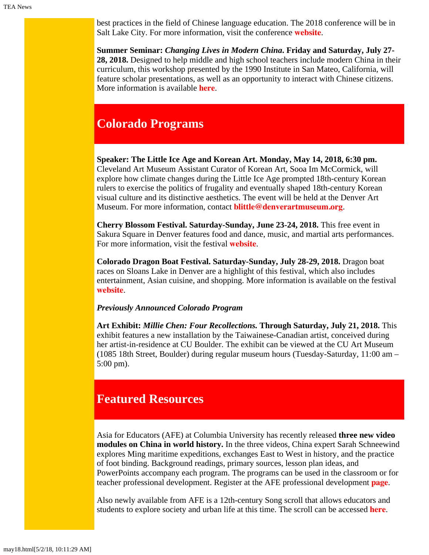best practices in the field of Chinese language education. The 2018 conference will be in Salt Lake City. For more information, visit the conference **[website](https://asiasociety.org/national-chinese-language-conference)**.

**Summer Seminar:** *Changing Lives in Modern China***. Friday and Saturday, July 27- 28, 2018.** Designed to help middle and high school teachers include modern China in their curriculum, this workshop presented by the 1990 Institute in San Mateo, California, will feature scholar presentations, as well as an opportunity to interact with Chinese citizens. More information is available **[here](http://teachers.1990institute.org/2018-tw/)**.

## **Colorado Programs**

**Speaker: The Little Ice Age and Korean Art. Monday, May 14, 2018, 6:30 pm.** Cleveland Art Museum Assistant Curator of Korean Art, Sooa Im McCormick, will explore how climate changes during the Little Ice Age prompted 18th-century Korean rulers to exercise the politics of frugality and eventually shaped 18th-century Korean visual culture and its distinctive aesthetics. The event will be held at the Denver Art Museum. For more information, contact **[blittle@denverartmuseum.org](mailto:blittle@denverartmuseum.org)**.

**Cherry Blossom Festival. Saturday-Sunday, June 23-24, 2018.** This free event in Sakura Square in Denver features food and dance, music, and martial arts performances. For more information, visit the festival **[website](https://cherryblossomdenver.org/)**.

**Colorado Dragon Boat Festival. Saturday-Sunday, July 28-29, 2018.** Dragon boat races on Sloans Lake in Denver are a highlight of this festival, which also includes entertainment, Asian cuisine, and shopping. More information is available on the festival **[website](http://www.cdbf.org/)**.

#### *Previously Announced Colorado Program*

**Art Exhibit:** *Millie Chen: Four Recollections.* **Through Saturday, July 21, 2018.** This exhibit features a new installation by the Taiwainese-Canadian artist, conceived during her artist-in-residence at CU Boulder. The exhibit can be viewed at the CU Art Museum (1085 18th Street, Boulder) during regular museum hours (Tuesday-Saturday, 11:00 am – 5:00 pm).

# <span id="page-1-0"></span>**Featured Resources**

Asia for Educators (AFE) at Columbia University has recently released **three new video modules on China in world history.** In the three videos, China expert Sarah Schneewind explores Ming maritime expeditions, exchanges East to West in history, and the practice of foot binding. Background readings, primary sources, lesson plan ideas, and PowerPoints accompany each program. The programs can be used in the classroom or for teacher professional development. Register at the AFE professional development **[page](https://asiaforeducators.org/login/index.php)**.

Also newly available from AFE is a 12th-century Song scroll that allows educators and students to explore society and urban life at this time. The scroll can be accessed **[here](http://afe.easia.columbia.edu/songdynasty-module/index.html)**.